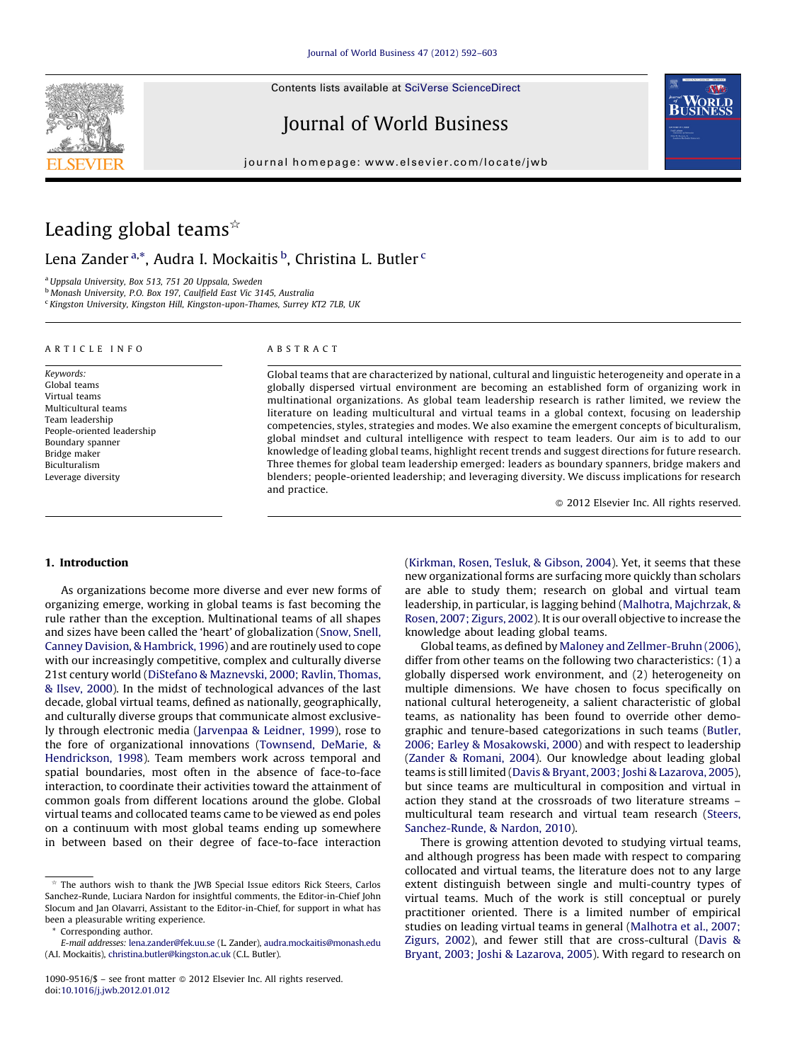Contents lists available at SciVerse [ScienceDirect](http://www.sciencedirect.com/science/journal/10909516)



Journal of World Business



journal homepage: www.elsevier.com/locate/jwb

# Leading global teams $*$

Lena Zander<sup>a,\*</sup>, Audra I. Mockaitis <sup>b</sup>, Christina L. Butler <sup>c</sup>

<sup>a</sup> Uppsala University, Box 513, 751 20 Uppsala, Sweden

<sup>b</sup> Monash University, P.O. Box 197, Caulfield East Vic 3145, Australia

<sup>c</sup> Kingston University, Kingston Hill, Kingston-upon-Thames, Surrey KT2 7LB, UK

#### A R T I C I F I N F O

Keywords: Global teams Virtual teams Multicultural teams Team leadership People-oriented leadership Boundary spanner Bridge maker Biculturalism Leverage diversity

## A B S T R A C T

Global teams that are characterized by national, cultural and linguistic heterogeneity and operate in a globally dispersed virtual environment are becoming an established form of organizing work in multinational organizations. As global team leadership research is rather limited, we review the literature on leading multicultural and virtual teams in a global context, focusing on leadership competencies, styles, strategies and modes. We also examine the emergent concepts of biculturalism, global mindset and cultural intelligence with respect to team leaders. Our aim is to add to our knowledge of leading global teams, highlight recent trends and suggest directions for future research. Three themes for global team leadership emerged: leaders as boundary spanners, bridge makers and blenders; people-oriented leadership; and leveraging diversity. We discuss implications for research and practice.

- 2012 Elsevier Inc. All rights reserved.

# 1. Introduction

As organizations become more diverse and ever new forms of organizing emerge, working in global teams is fast becoming the rule rather than the exception. Multinational teams of all shapes and sizes have been called the 'heart' of globalization [\(Snow,](#page--1-0) Snell, Canney Davision, & [Hambrick,](#page--1-0) 1996) and are routinely used to cope with our increasingly competitive, complex and culturally diverse 21st century world (DiStefano & [Maznevski,](#page--1-0) 2000; Ravlin, Thomas, & [Ilsev,](#page--1-0) 2000). In the midst of technological advances of the last decade, global virtual teams, defined as nationally, geographically, and culturally diverse groups that communicate almost exclusively through electronic media ([Jarvenpaa](#page--1-0) & Leidner, 1999), rose to the fore of organizational innovations [\(Townsend,](#page--1-0) DeMarie, & [Hendrickson,](#page--1-0) 1998). Team members work across temporal and spatial boundaries, most often in the absence of face-to-face interaction, to coordinate their activities toward the attainment of common goals from different locations around the globe. Global virtual teams and collocated teams came to be viewed as end poles on a continuum with most global teams ending up somewhere in between based on their degree of face-to-face interaction

Corresponding author.

([Kirkman,](#page--1-0) Rosen, Tesluk, & Gibson, 2004). Yet, it seems that these new organizational forms are surfacing more quickly than scholars are able to study them; research on global and virtual team leadership, in particular, is lagging behind (Malhotra, [Majchrzak,](#page--1-0) & Rosen, 2007; [Zigurs,](#page--1-0) 2002). It is our overall objective to increase the knowledge about leading global teams.

Global teams, as defined by Maloney and [Zellmer-Bruhn](#page--1-0) (2006), differ from other teams on the following two characteristics: (1) a globally dispersed work environment, and (2) heterogeneity on multiple dimensions. We have chosen to focus specifically on national cultural heterogeneity, a salient characteristic of global teams, as nationality has been found to override other demographic and tenure-based categorizations in such teams ([Butler,](#page--1-0) 2006; Earley & [Mosakowski,](#page--1-0) 2000) and with respect to leadership (Zander & [Romani,](#page--1-0) 2004). Our knowledge about leading global teams is still limited (Davis & Bryant, 2003; Joshi & [Lazarova,](#page--1-0) 2005), but since teams are multicultural in composition and virtual in action they stand at the crossroads of two literature streams – multicultural team research and virtual team research ([Steers,](#page--1-0) [Sanchez-Runde,](#page--1-0) & Nardon, 2010).

There is growing attention devoted to studying virtual teams, and although progress has been made with respect to comparing collocated and virtual teams, the literature does not to any large extent distinguish between single and multi-country types of virtual teams. Much of the work is still conceptual or purely practitioner oriented. There is a limited number of empirical studies on leading virtual teams in general [\(Malhotra](#page--1-0) et al., 2007; [Zigurs,](#page--1-0) 2002), and fewer still that are cross-cultural [\(Davis](#page--1-0) & Bryant, 2003; Joshi & [Lazarova,](#page--1-0) 2005). With regard to research on

 $\stackrel{\ast}{\sim}$  The authors wish to thank the JWB Special Issue editors Rick Steers, Carlos Sanchez-Runde, Luciara Nardon for insightful comments, the Editor-in-Chief John Slocum and Jan Olavarri, Assistant to the Editor-in-Chief, for support in what has been a pleasurable writing experience.

E-mail addresses: [lena.zander@fek.uu.se](mailto:lena.zander@fek.uu.se) (L. Zander), [audra.mockaitis@monash.edu](mailto:audra.mockaitis@monash.edu) (A.I. Mockaitis), [christina.butler@kingston.ac.uk](mailto:christina.butler@kingston.ac.uk) (C.L. Butler).

<sup>1090-9516/\$ -</sup> see front matter @ 2012 Elsevier Inc. All rights reserved. doi:[10.1016/j.jwb.2012.01.012](http://dx.doi.org/10.1016/j.jwb.2012.01.012)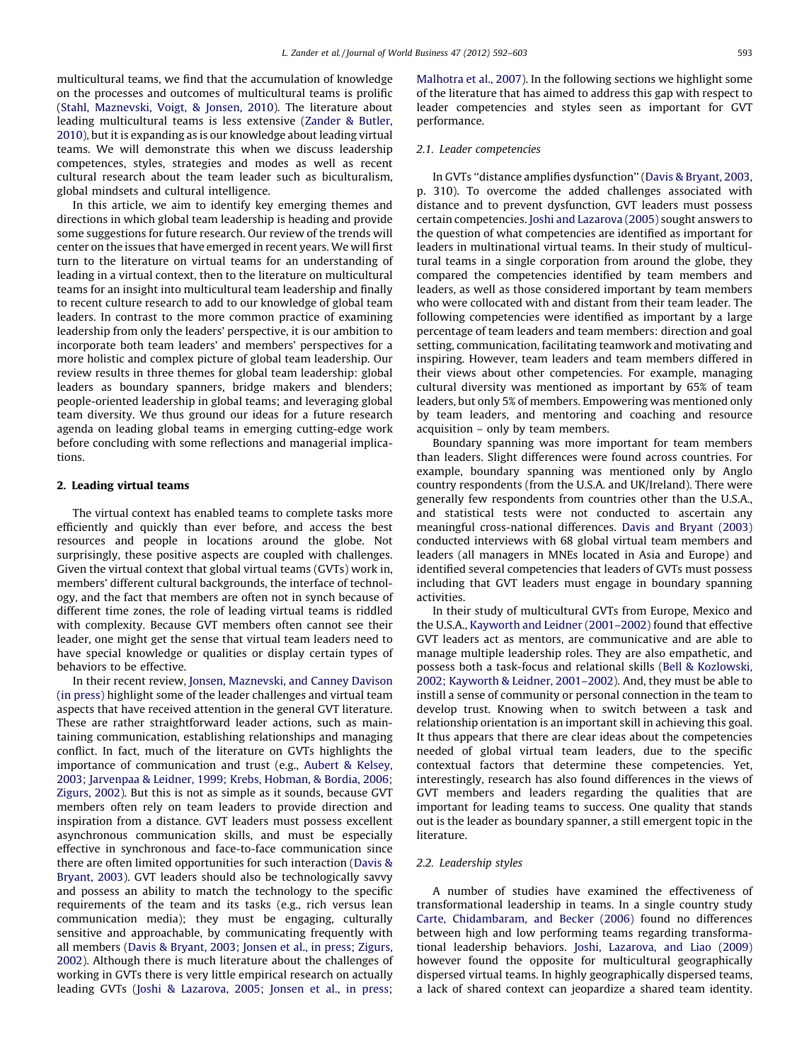multicultural teams, we find that the accumulation of knowledge on the processes and outcomes of multicultural teams is prolific (Stahl, [Maznevski,](#page--1-0) Voigt, & Jonsen, 2010). The literature about leading multicultural teams is less extensive [\(Zander](#page--1-0) & Butler, [2010\)](#page--1-0), but it is expanding as is our knowledge about leading virtual teams. We will demonstrate this when we discuss leadership competences, styles, strategies and modes as well as recent cultural research about the team leader such as biculturalism, global mindsets and cultural intelligence.

In this article, we aim to identify key emerging themes and directions in which global team leadership is heading and provide some suggestions for future research. Our review of the trends will center on the issues that have emerged in recent years. We will first turn to the literature on virtual teams for an understanding of leading in a virtual context, then to the literature on multicultural teams for an insight into multicultural team leadership and finally to recent culture research to add to our knowledge of global team leaders. In contrast to the more common practice of examining leadership from only the leaders' perspective, it is our ambition to incorporate both team leaders' and members' perspectives for a more holistic and complex picture of global team leadership. Our review results in three themes for global team leadership: global leaders as boundary spanners, bridge makers and blenders; people-oriented leadership in global teams; and leveraging global team diversity. We thus ground our ideas for a future research agenda on leading global teams in emerging cutting-edge work before concluding with some reflections and managerial implications.

## 2. Leading virtual teams

The virtual context has enabled teams to complete tasks more efficiently and quickly than ever before, and access the best resources and people in locations around the globe. Not surprisingly, these positive aspects are coupled with challenges. Given the virtual context that global virtual teams (GVTs) work in, members' different cultural backgrounds, the interface of technology, and the fact that members are often not in synch because of different time zones, the role of leading virtual teams is riddled with complexity. Because GVT members often cannot see their leader, one might get the sense that virtual team leaders need to have special knowledge or qualities or display certain types of behaviors to be effective.

In their recent review, Jonsen, [Maznevski,](#page--1-0) and Canney Davison (in [press\)](#page--1-0) highlight some of the leader challenges and virtual team aspects that have received attention in the general GVT literature. These are rather straightforward leader actions, such as maintaining communication, establishing relationships and managing conflict. In fact, much of the literature on GVTs highlights the importance of communication and trust (e.g., Aubert & [Kelsey,](#page--1-0) 2003; [Jarvenpaa](#page--1-0) & Leidner, 1999; Krebs, Hobman, & Bordia, 2006; [Zigurs,](#page--1-0) 2002). But this is not as simple as it sounds, because GVT members often rely on team leaders to provide direction and inspiration from a distance. GVT leaders must possess excellent asynchronous communication skills, and must be especially effective in synchronous and face-to-face communication since there are often limited opportunities for such interaction ([Davis](#page--1-0) & [Bryant,](#page--1-0) 2003). GVT leaders should also be technologically savvy and possess an ability to match the technology to the specific requirements of the team and its tasks (e.g., rich versus lean communication media); they must be engaging, culturally sensitive and approachable, by communicating frequently with all members (Davis & [Bryant,](#page--1-0) 2003; Jonsen et al., in press; Zigurs, [2002\)](#page--1-0). Although there is much literature about the challenges of working in GVTs there is very little empirical research on actually leading GVTs (Joshi & [Lazarova,](#page--1-0) 2005; Jonsen et al., in press;

[Malhotra](#page--1-0) et al., 2007). In the following sections we highlight some of the literature that has aimed to address this gap with respect to leader competencies and styles seen as important for GVT performance.

### 2.1. Leader competencies

In GVTs ''distance amplifies dysfunction'' (Davis & [Bryant,](#page--1-0) 2003, p. 310). To overcome the added challenges associated with distance and to prevent dysfunction, GVT leaders must possess certain competencies. Joshi and [Lazarova](#page--1-0) (2005) sought answers to the question of what competencies are identified as important for leaders in multinational virtual teams. In their study of multicultural teams in a single corporation from around the globe, they compared the competencies identified by team members and leaders, as well as those considered important by team members who were collocated with and distant from their team leader. The following competencies were identified as important by a large percentage of team leaders and team members: direction and goal setting, communication, facilitating teamwork and motivating and inspiring. However, team leaders and team members differed in their views about other competencies. For example, managing cultural diversity was mentioned as important by 65% of team leaders, but only 5% of members. Empowering was mentioned only by team leaders, and mentoring and coaching and resource acquisition – only by team members.

Boundary spanning was more important for team members than leaders. Slight differences were found across countries. For example, boundary spanning was mentioned only by Anglo country respondents (from the U.S.A. and UK/Ireland). There were generally few respondents from countries other than the U.S.A., and statistical tests were not conducted to ascertain any meaningful cross-national differences. Davis and [Bryant](#page--1-0) (2003) conducted interviews with 68 global virtual team members and leaders (all managers in MNEs located in Asia and Europe) and identified several competencies that leaders of GVTs must possess including that GVT leaders must engage in boundary spanning activities.

In their study of multicultural GVTs from Europe, Mexico and the U.S.A., Kayworth and Leidner [\(2001–2002\)](#page--1-0) found that effective GVT leaders act as mentors, are communicative and are able to manage multiple leadership roles. They are also empathetic, and possess both a task-focus and relational skills (Bell & [Kozlowski,](#page--1-0) 2002; Kayworth & Leidner, [2001–2002\)](#page--1-0). And, they must be able to instill a sense of community or personal connection in the team to develop trust. Knowing when to switch between a task and relationship orientation is an important skill in achieving this goal. It thus appears that there are clear ideas about the competencies needed of global virtual team leaders, due to the specific contextual factors that determine these competencies. Yet, interestingly, research has also found differences in the views of GVT members and leaders regarding the qualities that are important for leading teams to success. One quality that stands out is the leader as boundary spanner, a still emergent topic in the literature.

### 2.2. Leadership styles

A number of studies have examined the effectiveness of transformational leadership in teams. In a single country study Carte, [Chidambaram,](#page--1-0) and Becker (2006) found no differences between high and low performing teams regarding transformational leadership behaviors. Joshi, [Lazarova,](#page--1-0) and Liao (2009) however found the opposite for multicultural geographically dispersed virtual teams. In highly geographically dispersed teams, a lack of shared context can jeopardize a shared team identity.